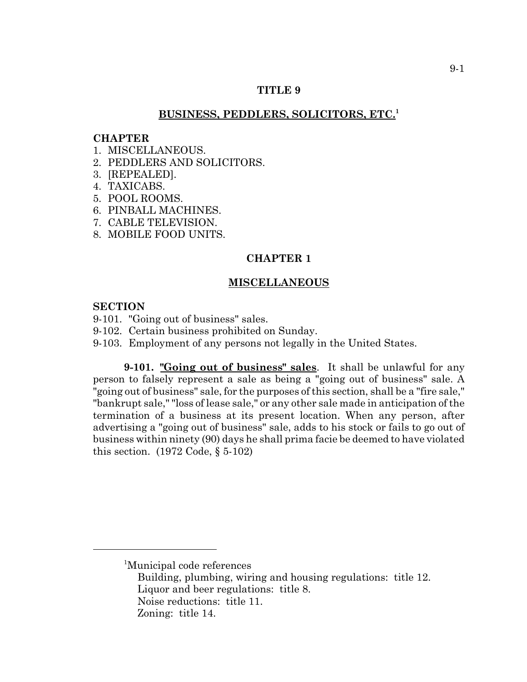## **TITLE 9**

# **BUSINESS, PEDDLERS, SOLICITORS, ETC.<sup>1</sup>**

#### **CHAPTER**

- 1 MISCELLANEOUS
- 2. PEDDLERS AND SOLICITORS.
- 3. [REPEALED].
- 4. TAXICABS.
- 5. POOL ROOMS.
- 6. PINBALL MACHINES.
- 7. CABLE TELEVISION.
- 8. MOBILE FOOD UNITS.

# **CHAPTER 1**

#### **MISCELLANEOUS**

#### **SECTION**

- 9-101. "Going out of business" sales.
- 9-102. Certain business prohibited on Sunday.
- 9-103. Employment of any persons not legally in the United States.

**9-101. "Going out of business" sales**. It shall be unlawful for any person to falsely represent a sale as being a "going out of business" sale. A "going out of business" sale, for the purposes of this section, shall be a "fire sale," "bankrupt sale," "loss of lease sale," or any other sale made in anticipation of the termination of a business at its present location. When any person, after advertising a "going out of business" sale, adds to his stock or fails to go out of business within ninety (90) days he shall prima facie be deemed to have violated this section. (1972 Code, § 5-102)

<sup>1</sup> Municipal code references

Building, plumbing, wiring and housing regulations: title 12. Liquor and beer regulations: title 8. Noise reductions: title 11. Zoning: title 14.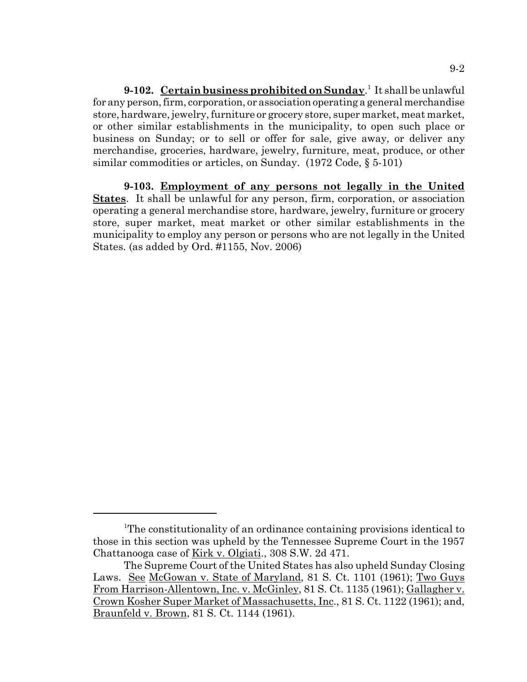**9-102.** Certain business prohibited on Sunday.<sup>1</sup> It shall be unlawful for any person, firm, corporation, or association operating a general merchandise store, hardware, jewelry, furniture or grocery store, super market, meat market, or other similar establishments in the municipality, to open such place or business on Sunday; or to sell or offer for sale, give away, or deliver any merchandise, groceries, hardware, jewelry, furniture, meat, produce, or other similar commodities or articles, on Sunday. (1972 Code, § 5-101)

**9-103. Employment of any persons not legally in the United States**. It shall be unlawful for any person, firm, corporation, or association operating a general merchandise store, hardware, jewelry, furniture or grocery store, super market, meat market or other similar establishments in the municipality to employ any person or persons who are not legally in the United States. (as added by Ord. #1155, Nov. 2006)

<sup>&</sup>lt;sup>1</sup>The constitutionality of an ordinance containing provisions identical to those in this section was upheld by the Tennessee Supreme Court in the 1957 Chattanooga case of Kirk v. Olgiati., 308 S.W. 2d 471.

The Supreme Court of the United States has also upheld Sunday Closing Laws. See McGowan v. State of Maryland, 81 S. Ct. 1101 (1961); Two Guys From Harrison-Allentown, Inc. v. McGinley, 81 S. Ct. 1135 (1961); Gallagher v. Crown Kosher Super Market of Massachusetts, Inc., 81 S. Ct. 1122 (1961); and, Braunfeld v. Brown, 81 S. Ct. 1144 (1961).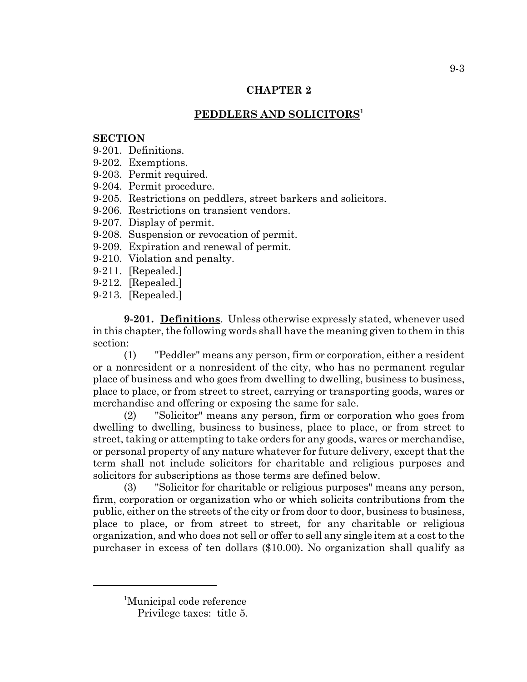# **PEDDLERS AND SOLICITORS1**

# **SECTION**

9-201. Definitions.

- 9-202. Exemptions.
- 9-203. Permit required.
- 9-204. Permit procedure.
- 9-205. Restrictions on peddlers, street barkers and solicitors.
- 9-206. Restrictions on transient vendors.
- 9-207. Display of permit.
- 9-208. Suspension or revocation of permit.
- 9-209. Expiration and renewal of permit.
- 9-210. Violation and penalty.
- 9-211. [Repealed.]
- 9-212. [Repealed.]
- 9-213. [Repealed.]

**9-201. Definitions**. Unless otherwise expressly stated, whenever used in this chapter, the following words shall have the meaning given to them in this section:

(1) "Peddler" means any person, firm or corporation, either a resident or a nonresident or a nonresident of the city, who has no permanent regular place of business and who goes from dwelling to dwelling, business to business, place to place, or from street to street, carrying or transporting goods, wares or merchandise and offering or exposing the same for sale.

(2) "Solicitor" means any person, firm or corporation who goes from dwelling to dwelling, business to business, place to place, or from street to street, taking or attempting to take orders for any goods, wares or merchandise, or personal property of any nature whatever for future delivery, except that the term shall not include solicitors for charitable and religious purposes and solicitors for subscriptions as those terms are defined below.

(3) "Solicitor for charitable or religious purposes" means any person, firm, corporation or organization who or which solicits contributions from the public, either on the streets of the city or from door to door, business to business, place to place, or from street to street, for any charitable or religious organization, and who does not sell or offer to sell any single item at a cost to the purchaser in excess of ten dollars (\$10.00). No organization shall qualify as

<sup>1</sup> Municipal code reference

Privilege taxes: title 5.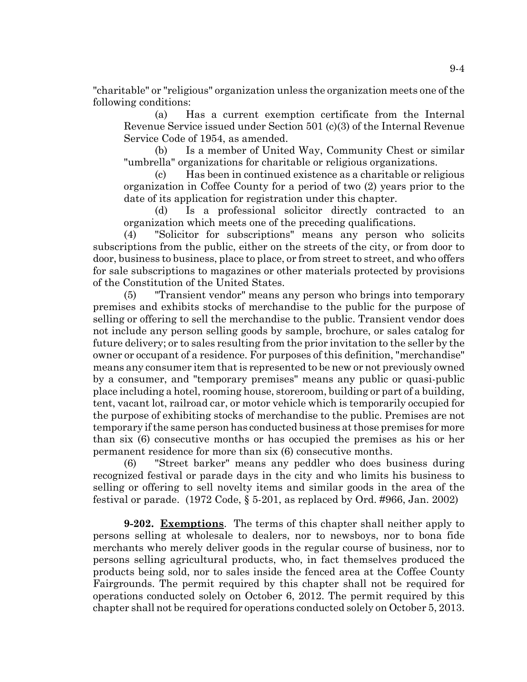"charitable" or "religious" organization unless the organization meets one of the following conditions:

(a) Has a current exemption certificate from the Internal Revenue Service issued under Section 501 (c)(3) of the Internal Revenue Service Code of 1954, as amended.

(b) Is a member of United Way, Community Chest or similar "umbrella" organizations for charitable or religious organizations.

(c) Has been in continued existence as a charitable or religious organization in Coffee County for a period of two (2) years prior to the date of its application for registration under this chapter.

(d) Is a professional solicitor directly contracted to an organization which meets one of the preceding qualifications.

(4) "Solicitor for subscriptions" means any person who solicits subscriptions from the public, either on the streets of the city, or from door to door, business to business, place to place, or from street to street, and who offers for sale subscriptions to magazines or other materials protected by provisions of the Constitution of the United States.

(5) "Transient vendor" means any person who brings into temporary premises and exhibits stocks of merchandise to the public for the purpose of selling or offering to sell the merchandise to the public. Transient vendor does not include any person selling goods by sample, brochure, or sales catalog for future delivery; or to sales resulting from the prior invitation to the seller by the owner or occupant of a residence. For purposes of this definition, "merchandise" means any consumer item that is represented to be new or not previously owned by a consumer, and "temporary premises" means any public or quasi-public place including a hotel, rooming house, storeroom, building or part of a building, tent, vacant lot, railroad car, or motor vehicle which is temporarily occupied for the purpose of exhibiting stocks of merchandise to the public. Premises are not temporary if the same person has conducted business at those premises for more than six (6) consecutive months or has occupied the premises as his or her permanent residence for more than six (6) consecutive months.

(6) "Street barker" means any peddler who does business during recognized festival or parade days in the city and who limits his business to selling or offering to sell novelty items and similar goods in the area of the festival or parade. (1972 Code, § 5-201, as replaced by Ord. #966, Jan. 2002)

**9-202. Exemptions**. The terms of this chapter shall neither apply to persons selling at wholesale to dealers, nor to newsboys, nor to bona fide merchants who merely deliver goods in the regular course of business, nor to persons selling agricultural products, who, in fact themselves produced the products being sold, nor to sales inside the fenced area at the Coffee County Fairgrounds. The permit required by this chapter shall not be required for operations conducted solely on October 6, 2012. The permit required by this chapter shall not be required for operations conducted solely on October 5, 2013.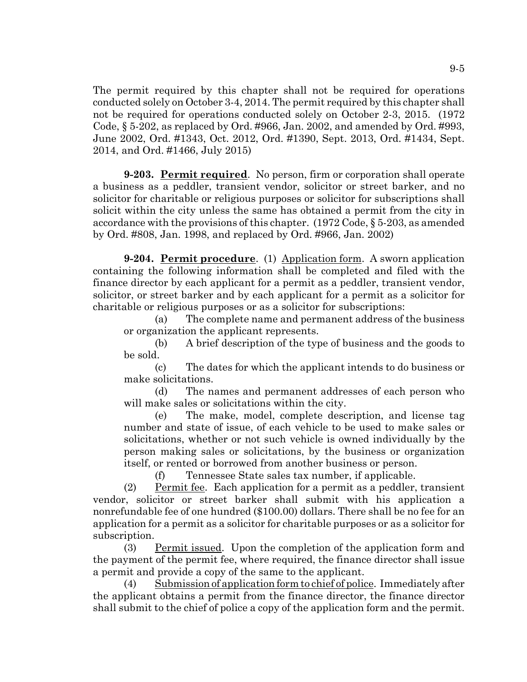The permit required by this chapter shall not be required for operations conducted solely on October 3-4, 2014. The permit required by this chapter shall not be required for operations conducted solely on October 2-3, 2015. (1972 Code, § 5-202, as replaced by Ord. #966, Jan. 2002, and amended by Ord. #993, June 2002, Ord. #1343, Oct. 2012, Ord. #1390, Sept. 2013, Ord. #1434, Sept. 2014, and Ord. #1466, July 2015)

**9-203.** Permit required. No person, firm or corporation shall operate a business as a peddler, transient vendor, solicitor or street barker, and no solicitor for charitable or religious purposes or solicitor for subscriptions shall solicit within the city unless the same has obtained a permit from the city in accordance with the provisions of this chapter. (1972 Code, § 5-203, as amended by Ord. #808, Jan. 1998, and replaced by Ord. #966, Jan. 2002)

**9-204. Permit procedure**. (1) Application form. A sworn application containing the following information shall be completed and filed with the finance director by each applicant for a permit as a peddler, transient vendor, solicitor, or street barker and by each applicant for a permit as a solicitor for charitable or religious purposes or as a solicitor for subscriptions:

(a) The complete name and permanent address of the business or organization the applicant represents.

(b) A brief description of the type of business and the goods to be sold.

(c) The dates for which the applicant intends to do business or make solicitations.

(d) The names and permanent addresses of each person who will make sales or solicitations within the city.

(e) The make, model, complete description, and license tag number and state of issue, of each vehicle to be used to make sales or solicitations, whether or not such vehicle is owned individually by the person making sales or solicitations, by the business or organization itself, or rented or borrowed from another business or person.

(f) Tennessee State sales tax number, if applicable.

(2) Permit fee. Each application for a permit as a peddler, transient vendor, solicitor or street barker shall submit with his application a nonrefundable fee of one hundred (\$100.00) dollars. There shall be no fee for an application for a permit as a solicitor for charitable purposes or as a solicitor for subscription.

(3) Permit issued. Upon the completion of the application form and the payment of the permit fee, where required, the finance director shall issue a permit and provide a copy of the same to the applicant.

(4) Submission of application form to chief of police. Immediately after the applicant obtains a permit from the finance director, the finance director shall submit to the chief of police a copy of the application form and the permit.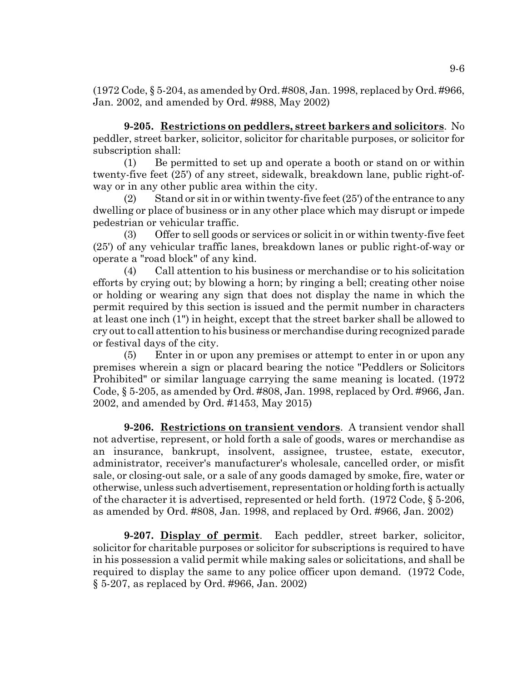(1972 Code, § 5-204, as amended by Ord. #808, Jan. 1998, replaced by Ord. #966, Jan. 2002, and amended by Ord. #988, May 2002)

**9-205. Restrictions on peddlers, street barkers and solicitors**. No peddler, street barker, solicitor, solicitor for charitable purposes, or solicitor for subscription shall:

(1) Be permitted to set up and operate a booth or stand on or within twenty-five feet (25') of any street, sidewalk, breakdown lane, public right-ofway or in any other public area within the city.

(2) Stand or sit in or within twenty-five feet  $(25')$  of the entrance to any dwelling or place of business or in any other place which may disrupt or impede pedestrian or vehicular traffic.

(3) Offer to sell goods or services or solicit in or within twenty-five feet (25') of any vehicular traffic lanes, breakdown lanes or public right-of-way or operate a "road block" of any kind.

(4) Call attention to his business or merchandise or to his solicitation efforts by crying out; by blowing a horn; by ringing a bell; creating other noise or holding or wearing any sign that does not display the name in which the permit required by this section is issued and the permit number in characters at least one inch (1") in height, except that the street barker shall be allowed to cry out to call attention to his business or merchandise during recognized parade or festival days of the city.

(5) Enter in or upon any premises or attempt to enter in or upon any premises wherein a sign or placard bearing the notice "Peddlers or Solicitors Prohibited" or similar language carrying the same meaning is located. (1972 Code, § 5-205, as amended by Ord. #808, Jan. 1998, replaced by Ord. #966, Jan. 2002, and amended by Ord. #1453, May 2015)

**9-206. Restrictions on transient vendors**. A transient vendor shall not advertise, represent, or hold forth a sale of goods, wares or merchandise as an insurance, bankrupt, insolvent, assignee, trustee, estate, executor, administrator, receiver's manufacturer's wholesale, cancelled order, or misfit sale, or closing-out sale, or a sale of any goods damaged by smoke, fire, water or otherwise, unless such advertisement, representation or holding forth is actually of the character it is advertised, represented or held forth. (1972 Code, § 5-206, as amended by Ord. #808, Jan. 1998, and replaced by Ord. #966, Jan. 2002)

**9-207. Display of permit**. Each peddler, street barker, solicitor, solicitor for charitable purposes or solicitor for subscriptions is required to have in his possession a valid permit while making sales or solicitations, and shall be required to display the same to any police officer upon demand. (1972 Code, § 5-207, as replaced by Ord. #966, Jan. 2002)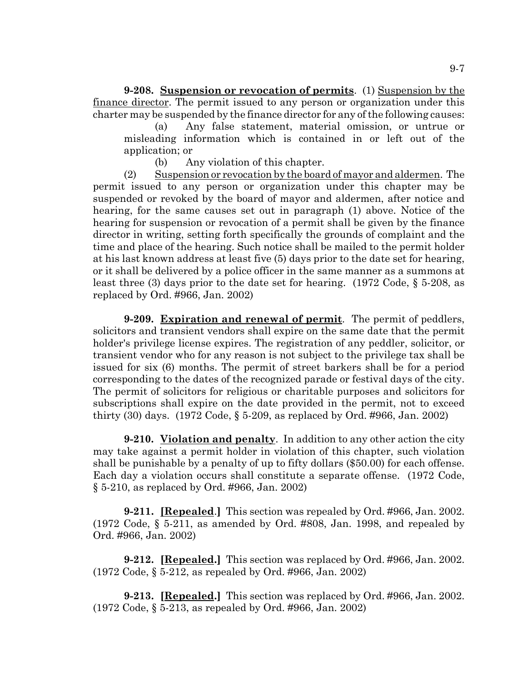**9-208. Suspension or revocation of permits**. (1) Suspension by the finance director. The permit issued to any person or organization under this charter may be suspended by the finance director for any of the following causes:

(a) Any false statement, material omission, or untrue or misleading information which is contained in or left out of the application; or

(b) Any violation of this chapter.

(2) Suspension or revocation by the board of mayor and aldermen. The permit issued to any person or organization under this chapter may be suspended or revoked by the board of mayor and aldermen, after notice and hearing, for the same causes set out in paragraph (1) above. Notice of the hearing for suspension or revocation of a permit shall be given by the finance director in writing, setting forth specifically the grounds of complaint and the time and place of the hearing. Such notice shall be mailed to the permit holder at his last known address at least five (5) days prior to the date set for hearing, or it shall be delivered by a police officer in the same manner as a summons at least three (3) days prior to the date set for hearing. (1972 Code, § 5-208, as replaced by Ord. #966, Jan. 2002)

**9-209. Expiration and renewal of permit**. The permit of peddlers, solicitors and transient vendors shall expire on the same date that the permit holder's privilege license expires. The registration of any peddler, solicitor, or transient vendor who for any reason is not subject to the privilege tax shall be issued for six (6) months. The permit of street barkers shall be for a period corresponding to the dates of the recognized parade or festival days of the city. The permit of solicitors for religious or charitable purposes and solicitors for subscriptions shall expire on the date provided in the permit, not to exceed thirty (30) days. (1972 Code, § 5-209, as replaced by Ord. #966, Jan. 2002)

**9-210.** Violation and penalty. In addition to any other action the city may take against a permit holder in violation of this chapter, such violation shall be punishable by a penalty of up to fifty dollars (\$50.00) for each offense. Each day a violation occurs shall constitute a separate offense. (1972 Code, § 5-210, as replaced by Ord. #966, Jan. 2002)

**9-211. [Repealed**.**]** This section was repealed by Ord. #966, Jan. 2002. (1972 Code, § 5-211, as amended by Ord. #808, Jan. 1998, and repealed by Ord. #966, Jan. 2002)

**9-212. [Repealed.]** This section was replaced by Ord. #966, Jan. 2002. (1972 Code, § 5-212, as repealed by Ord. #966, Jan. 2002)

**9-213. [Repealed.]** This section was replaced by Ord. #966, Jan. 2002. (1972 Code, § 5-213, as repealed by Ord. #966, Jan. 2002)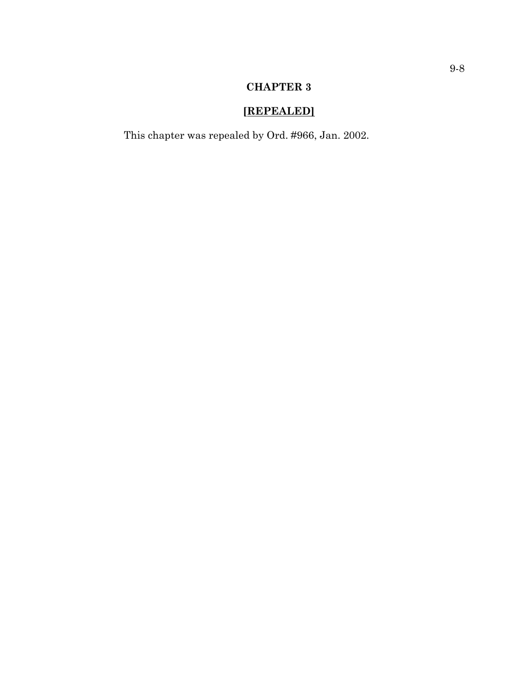# **[REPEALED]**

This chapter was repealed by Ord. #966, Jan. 2002.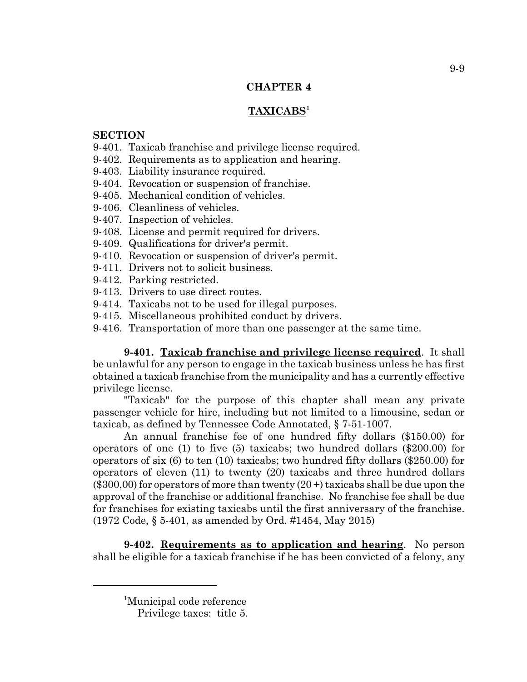# **TAXICABS1**

#### **SECTION**

- 9-401. Taxicab franchise and privilege license required.
- 9-402. Requirements as to application and hearing.
- 9-403. Liability insurance required.
- 9-404. Revocation or suspension of franchise.
- 9-405. Mechanical condition of vehicles.
- 9-406. Cleanliness of vehicles.
- 9-407. Inspection of vehicles.
- 9-408. License and permit required for drivers.
- 9-409. Qualifications for driver's permit.
- 9-410. Revocation or suspension of driver's permit.
- 9-411. Drivers not to solicit business.
- 9-412. Parking restricted.
- 9-413. Drivers to use direct routes.
- 9-414. Taxicabs not to be used for illegal purposes.
- 9-415. Miscellaneous prohibited conduct by drivers.
- 9-416. Transportation of more than one passenger at the same time.

**9-401. Taxicab franchise and privilege license required**. It shall be unlawful for any person to engage in the taxicab business unless he has first obtained a taxicab franchise from the municipality and has a currently effective privilege license.

"Taxicab" for the purpose of this chapter shall mean any private passenger vehicle for hire, including but not limited to a limousine, sedan or taxicab, as defined by Tennessee Code Annotated, § 7-51-1007.

An annual franchise fee of one hundred fifty dollars (\$150.00) for operators of one (1) to five (5) taxicabs; two hundred dollars (\$200.00) for operators of six (6) to ten (10) taxicabs; two hundred fifty dollars (\$250.00) for operators of eleven (11) to twenty (20) taxicabs and three hundred dollars  $(\$300,00)$  for operators of more than twenty  $(20+)$  taxicabs shall be due upon the approval of the franchise or additional franchise. No franchise fee shall be due for franchises for existing taxicabs until the first anniversary of the franchise. (1972 Code, § 5-401, as amended by Ord. #1454, May 2015)

**9-402. Requirements as to application and hearing**. No person shall be eligible for a taxicab franchise if he has been convicted of a felony, any

<sup>1</sup> Municipal code reference

Privilege taxes: title 5.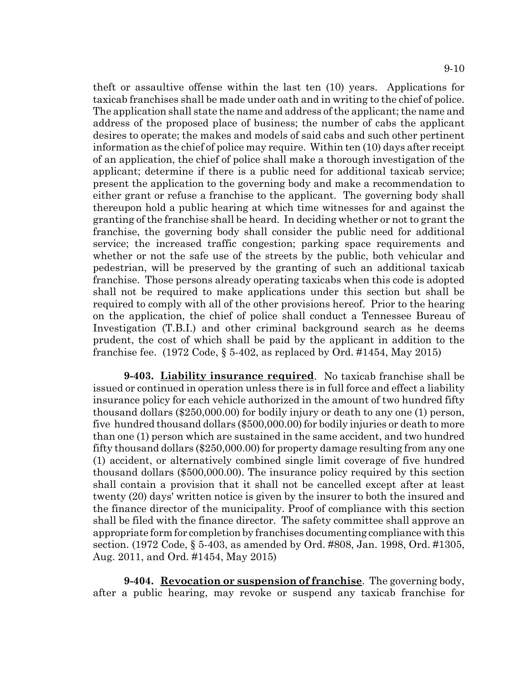theft or assaultive offense within the last ten (10) years. Applications for taxicab franchises shall be made under oath and in writing to the chief of police. The application shall state the name and address of the applicant; the name and address of the proposed place of business; the number of cabs the applicant desires to operate; the makes and models of said cabs and such other pertinent information as the chief of police may require. Within ten (10) days after receipt of an application, the chief of police shall make a thorough investigation of the applicant; determine if there is a public need for additional taxicab service; present the application to the governing body and make a recommendation to either grant or refuse a franchise to the applicant. The governing body shall thereupon hold a public hearing at which time witnesses for and against the granting of the franchise shall be heard. In deciding whether or not to grant the franchise, the governing body shall consider the public need for additional service; the increased traffic congestion; parking space requirements and whether or not the safe use of the streets by the public, both vehicular and pedestrian, will be preserved by the granting of such an additional taxicab franchise. Those persons already operating taxicabs when this code is adopted shall not be required to make applications under this section but shall be required to comply with all of the other provisions hereof. Prior to the hearing on the application, the chief of police shall conduct a Tennessee Bureau of Investigation (T.B.I.) and other criminal background search as he deems prudent, the cost of which shall be paid by the applicant in addition to the franchise fee.  $(1972 \text{ Code}, \S 5-402)$ , as replaced by Ord. #1454, May 2015)

**9-403. Liability insurance required**. No taxicab franchise shall be issued or continued in operation unless there is in full force and effect a liability insurance policy for each vehicle authorized in the amount of two hundred fifty thousand dollars (\$250,000.00) for bodily injury or death to any one (1) person, five hundred thousand dollars (\$500,000.00) for bodily injuries or death to more than one (1) person which are sustained in the same accident, and two hundred fifty thousand dollars (\$250,000.00) for property damage resulting from any one (1) accident, or alternatively combined single limit coverage of five hundred thousand dollars (\$500,000.00). The insurance policy required by this section shall contain a provision that it shall not be cancelled except after at least twenty (20) days' written notice is given by the insurer to both the insured and the finance director of the municipality. Proof of compliance with this section shall be filed with the finance director. The safety committee shall approve an appropriate form for completion by franchises documenting compliance with this section. (1972 Code, § 5-403, as amended by Ord. #808, Jan. 1998, Ord. #1305, Aug. 2011, and Ord. #1454, May 2015)

**9-404. Revocation or suspension of franchise**. The governing body, after a public hearing, may revoke or suspend any taxicab franchise for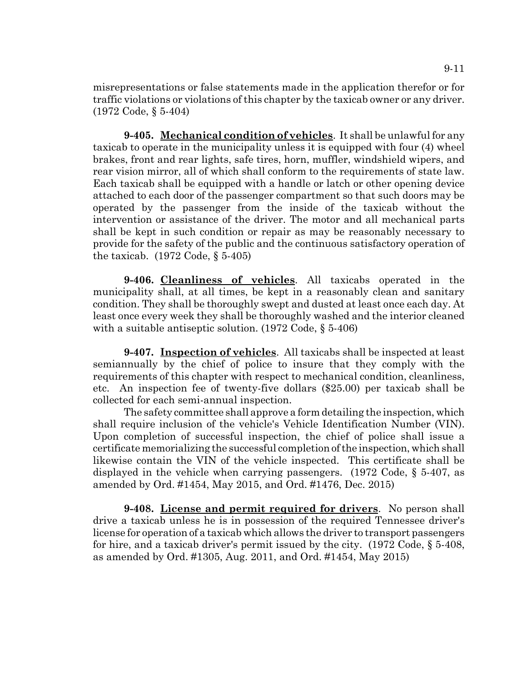misrepresentations or false statements made in the application therefor or for traffic violations or violations of this chapter by the taxicab owner or any driver. (1972 Code, § 5-404)

**9-405. Mechanical condition of vehicles**. It shall be unlawful for any taxicab to operate in the municipality unless it is equipped with four (4) wheel brakes, front and rear lights, safe tires, horn, muffler, windshield wipers, and rear vision mirror, all of which shall conform to the requirements of state law. Each taxicab shall be equipped with a handle or latch or other opening device attached to each door of the passenger compartment so that such doors may be operated by the passenger from the inside of the taxicab without the intervention or assistance of the driver. The motor and all mechanical parts shall be kept in such condition or repair as may be reasonably necessary to provide for the safety of the public and the continuous satisfactory operation of the taxicab.  $(1972 \text{ Code}, \S 5-405)$ 

**9-406. Cleanliness of vehicles**. All taxicabs operated in the municipality shall, at all times, be kept in a reasonably clean and sanitary condition. They shall be thoroughly swept and dusted at least once each day. At least once every week they shall be thoroughly washed and the interior cleaned with a suitable antiseptic solution. (1972 Code, § 5-406)

**9-407. Inspection of vehicles**. All taxicabs shall be inspected at least semiannually by the chief of police to insure that they comply with the requirements of this chapter with respect to mechanical condition, cleanliness, etc. An inspection fee of twenty-five dollars (\$25.00) per taxicab shall be collected for each semi-annual inspection.

The safety committee shall approve a form detailing the inspection, which shall require inclusion of the vehicle's Vehicle Identification Number (VIN). Upon completion of successful inspection, the chief of police shall issue a certificate memorializing the successful completion of the inspection, which shall likewise contain the VIN of the vehicle inspected. This certificate shall be displayed in the vehicle when carrying passengers. (1972 Code, § 5-407, as amended by Ord. #1454, May 2015, and Ord. #1476, Dec. 2015)

**9-408. License and permit required for drivers**. No person shall drive a taxicab unless he is in possession of the required Tennessee driver's license for operation of a taxicab which allows the driver to transport passengers for hire, and a taxicab driver's permit issued by the city. (1972 Code, § 5-408, as amended by Ord. #1305, Aug. 2011, and Ord. #1454, May 2015)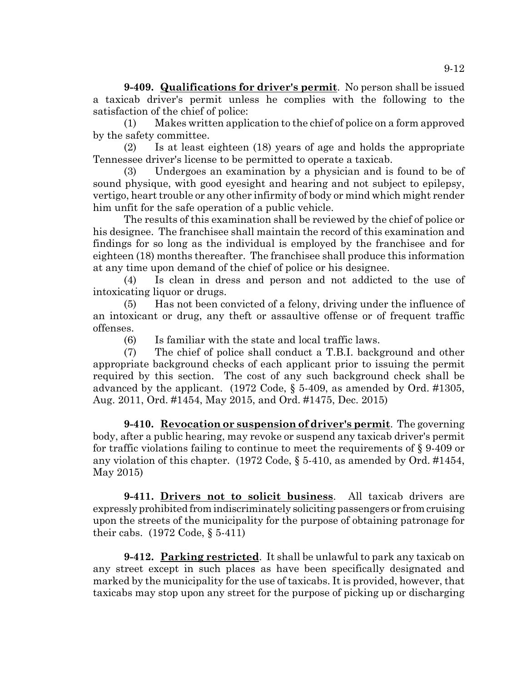**9-409. Qualifications for driver's permit**. No person shall be issued a taxicab driver's permit unless he complies with the following to the satisfaction of the chief of police:

(1) Makes written application to the chief of police on a form approved by the safety committee.

(2) Is at least eighteen (18) years of age and holds the appropriate Tennessee driver's license to be permitted to operate a taxicab.

(3) Undergoes an examination by a physician and is found to be of sound physique, with good eyesight and hearing and not subject to epilepsy, vertigo, heart trouble or any other infirmity of body or mind which might render him unfit for the safe operation of a public vehicle.

The results of this examination shall be reviewed by the chief of police or his designee. The franchisee shall maintain the record of this examination and findings for so long as the individual is employed by the franchisee and for eighteen (18) months thereafter. The franchisee shall produce this information at any time upon demand of the chief of police or his designee.

(4) Is clean in dress and person and not addicted to the use of intoxicating liquor or drugs.

(5) Has not been convicted of a felony, driving under the influence of an intoxicant or drug, any theft or assaultive offense or of frequent traffic offenses.

(6) Is familiar with the state and local traffic laws.

(7) The chief of police shall conduct a T.B.I. background and other appropriate background checks of each applicant prior to issuing the permit required by this section. The cost of any such background check shall be advanced by the applicant. (1972 Code, § 5-409, as amended by Ord. #1305, Aug. 2011, Ord. #1454, May 2015, and Ord. #1475, Dec. 2015)

**9-410. Revocation or suspension of driver's permit**. The governing body, after a public hearing, may revoke or suspend any taxicab driver's permit for traffic violations failing to continue to meet the requirements of § 9-409 or any violation of this chapter. (1972 Code, § 5-410, as amended by Ord. #1454, May 2015)

**9-411. Drivers not to solicit business**. All taxicab drivers are expressly prohibited from indiscriminately soliciting passengers or from cruising upon the streets of the municipality for the purpose of obtaining patronage for their cabs. (1972 Code, § 5-411)

**9-412. Parking restricted**. It shall be unlawful to park any taxicab on any street except in such places as have been specifically designated and marked by the municipality for the use of taxicabs. It is provided, however, that taxicabs may stop upon any street for the purpose of picking up or discharging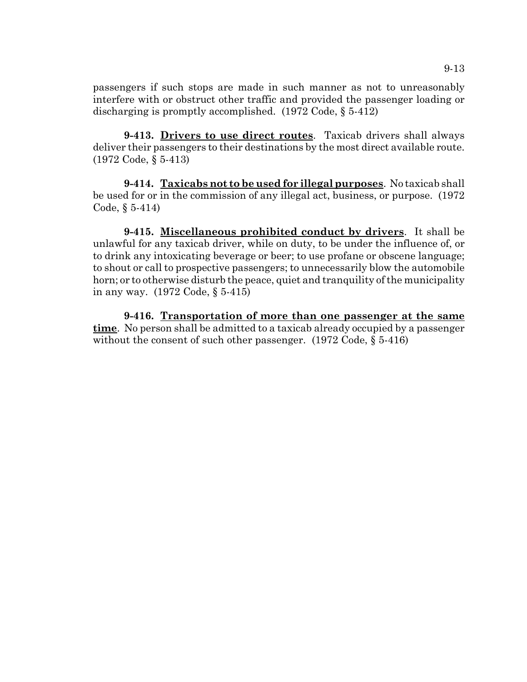passengers if such stops are made in such manner as not to unreasonably interfere with or obstruct other traffic and provided the passenger loading or discharging is promptly accomplished. (1972 Code, § 5-412)

**9-413. Drivers to use direct routes**. Taxicab drivers shall always deliver their passengers to their destinations by the most direct available route. (1972 Code, § 5-413)

**9-414. Taxicabs not to be used for illegal purposes**. No taxicab shall be used for or in the commission of any illegal act, business, or purpose. (1972 Code, § 5-414)

**9-415. Miscellaneous prohibited conduct by drivers**. It shall be unlawful for any taxicab driver, while on duty, to be under the influence of, or to drink any intoxicating beverage or beer; to use profane or obscene language; to shout or call to prospective passengers; to unnecessarily blow the automobile horn; or to otherwise disturb the peace, quiet and tranquility of the municipality in any way. (1972 Code, § 5-415)

**9-416. Transportation of more than one passenger at the same time**. No person shall be admitted to a taxicab already occupied by a passenger without the consent of such other passenger. (1972 Code, § 5-416)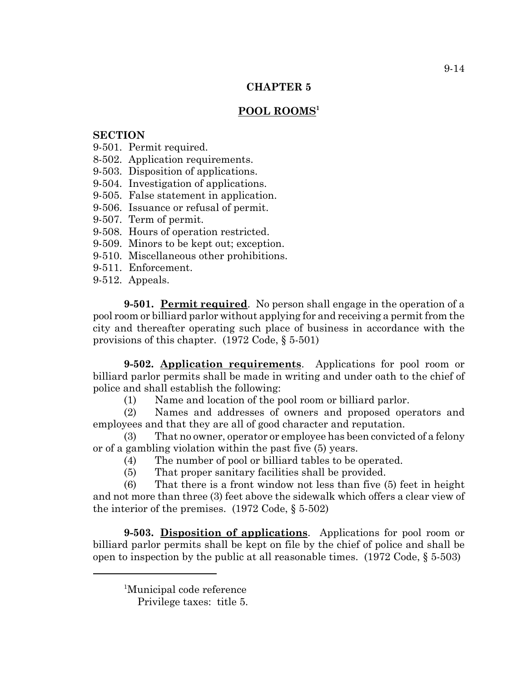# **POOL ROOMS<sup>1</sup>**

# **SECTION**

- 9-501. Permit required.
- 8-502. Application requirements.
- 9-503. Disposition of applications.
- 9-504. Investigation of applications.
- 9-505. False statement in application.
- 9-506. Issuance or refusal of permit.
- 9-507. Term of permit.
- 9-508. Hours of operation restricted.
- 9-509. Minors to be kept out; exception.
- 9-510. Miscellaneous other prohibitions.
- 9-511. Enforcement.
- 9-512. Appeals.

**9-501. Permit required**. No person shall engage in the operation of a pool room or billiard parlor without applying for and receiving a permit from the city and thereafter operating such place of business in accordance with the provisions of this chapter. (1972 Code, § 5-501)

**9-502. Application requirements**. Applications for pool room or billiard parlor permits shall be made in writing and under oath to the chief of police and shall establish the following:

(1) Name and location of the pool room or billiard parlor.

(2) Names and addresses of owners and proposed operators and employees and that they are all of good character and reputation.

(3) That no owner, operator or employee has been convicted of a felony or of a gambling violation within the past five (5) years.

- (4) The number of pool or billiard tables to be operated.
- (5) That proper sanitary facilities shall be provided.

(6) That there is a front window not less than five (5) feet in height and not more than three (3) feet above the sidewalk which offers a clear view of the interior of the premises. (1972 Code, § 5-502)

**9-503. Disposition of applications**. Applications for pool room or billiard parlor permits shall be kept on file by the chief of police and shall be open to inspection by the public at all reasonable times. (1972 Code, § 5-503)

<sup>1</sup> Municipal code reference

Privilege taxes: title 5.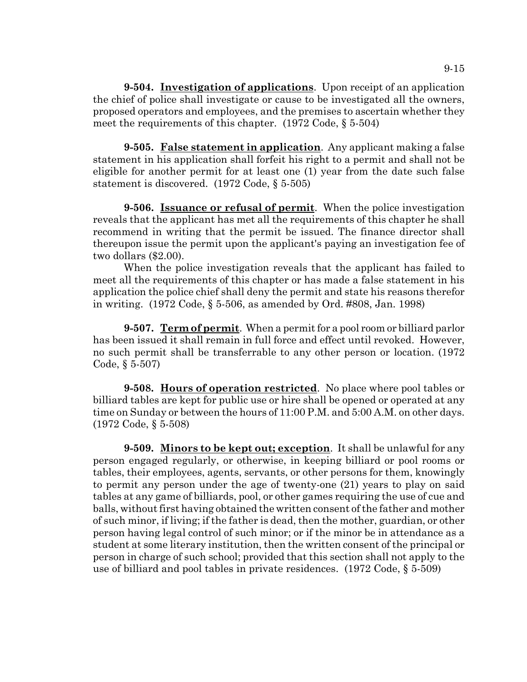**9-504. Investigation of applications**. Upon receipt of an application the chief of police shall investigate or cause to be investigated all the owners, proposed operators and employees, and the premises to ascertain whether they meet the requirements of this chapter. (1972 Code, § 5-504)

**9-505. False statement in application**. Any applicant making a false statement in his application shall forfeit his right to a permit and shall not be eligible for another permit for at least one (1) year from the date such false statement is discovered. (1972 Code, § 5-505)

**9-506. Issuance or refusal of permit**. When the police investigation reveals that the applicant has met all the requirements of this chapter he shall recommend in writing that the permit be issued. The finance director shall thereupon issue the permit upon the applicant's paying an investigation fee of two dollars (\$2.00).

When the police investigation reveals that the applicant has failed to meet all the requirements of this chapter or has made a false statement in his application the police chief shall deny the permit and state his reasons therefor in writing. (1972 Code, § 5-506, as amended by Ord. #808, Jan. 1998)

**9-507. Term of permit**. When a permit for a pool room or billiard parlor has been issued it shall remain in full force and effect until revoked. However, no such permit shall be transferrable to any other person or location. (1972 Code, § 5-507)

**9-508. Hours of operation restricted**. No place where pool tables or billiard tables are kept for public use or hire shall be opened or operated at any time on Sunday or between the hours of 11:00 P.M. and 5:00 A.M. on other days. (1972 Code, § 5-508)

**9-509. Minors to be kept out; exception**. It shall be unlawful for any person engaged regularly, or otherwise, in keeping billiard or pool rooms or tables, their employees, agents, servants, or other persons for them, knowingly to permit any person under the age of twenty-one (21) years to play on said tables at any game of billiards, pool, or other games requiring the use of cue and balls, without first having obtained the written consent of the father and mother of such minor, if living; if the father is dead, then the mother, guardian, or other person having legal control of such minor; or if the minor be in attendance as a student at some literary institution, then the written consent of the principal or person in charge of such school; provided that this section shall not apply to the use of billiard and pool tables in private residences. (1972 Code, § 5-509)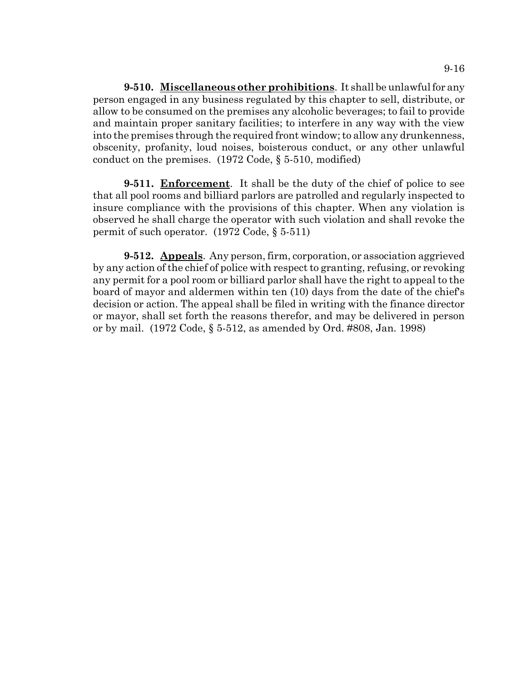**9-510. Miscellaneous other prohibitions**. It shall be unlawful for any person engaged in any business regulated by this chapter to sell, distribute, or allow to be consumed on the premises any alcoholic beverages; to fail to provide and maintain proper sanitary facilities; to interfere in any way with the view into the premises through the required front window; to allow any drunkenness, obscenity, profanity, loud noises, boisterous conduct, or any other unlawful conduct on the premises. (1972 Code, § 5-510, modified)

**9-511. Enforcement**. It shall be the duty of the chief of police to see that all pool rooms and billiard parlors are patrolled and regularly inspected to insure compliance with the provisions of this chapter. When any violation is observed he shall charge the operator with such violation and shall revoke the permit of such operator. (1972 Code, § 5-511)

**9-512. Appeals**. Any person, firm, corporation, or association aggrieved by any action of the chief of police with respect to granting, refusing, or revoking any permit for a pool room or billiard parlor shall have the right to appeal to the board of mayor and aldermen within ten (10) days from the date of the chief's decision or action. The appeal shall be filed in writing with the finance director or mayor, shall set forth the reasons therefor, and may be delivered in person or by mail. (1972 Code, § 5-512, as amended by Ord. #808, Jan. 1998)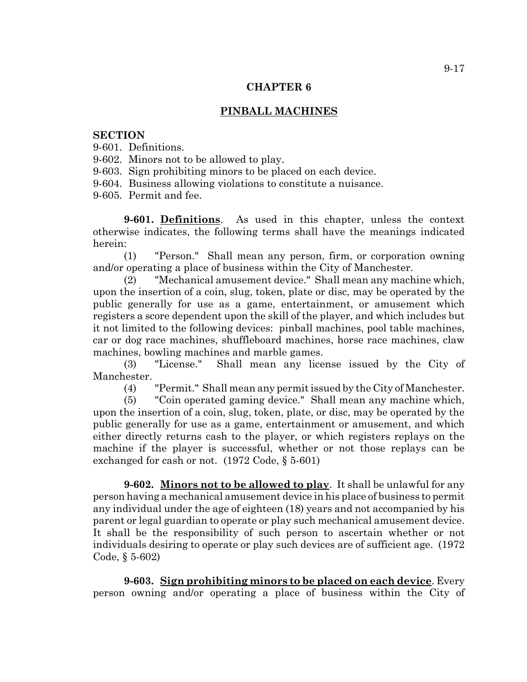## **PINBALL MACHINES**

#### **SECTION**

9-601. Definitions.

9-602. Minors not to be allowed to play.

9-603. Sign prohibiting minors to be placed on each device.

9-604. Business allowing violations to constitute a nuisance.

9-605. Permit and fee.

**9-601. Definitions**. As used in this chapter, unless the context otherwise indicates, the following terms shall have the meanings indicated herein:

(1) "Person." Shall mean any person, firm, or corporation owning and/or operating a place of business within the City of Manchester.

(2) "Mechanical amusement device." Shall mean any machine which, upon the insertion of a coin, slug, token, plate or disc, may be operated by the public generally for use as a game, entertainment, or amusement which registers a score dependent upon the skill of the player, and which includes but it not limited to the following devices: pinball machines, pool table machines, car or dog race machines, shuffleboard machines, horse race machines, claw machines, bowling machines and marble games.

(3) "License." Shall mean any license issued by the City of Manchester.

(4) "Permit." Shall mean any permit issued by the City of Manchester.

(5) "Coin operated gaming device." Shall mean any machine which, upon the insertion of a coin, slug, token, plate, or disc, may be operated by the public generally for use as a game, entertainment or amusement, and which either directly returns cash to the player, or which registers replays on the machine if the player is successful, whether or not those replays can be exchanged for cash or not. (1972 Code, § 5-601)

**9-602. Minors not to be allowed to play**. It shall be unlawful for any person having a mechanical amusement device in his place of business to permit any individual under the age of eighteen (18) years and not accompanied by his parent or legal guardian to operate or play such mechanical amusement device. It shall be the responsibility of such person to ascertain whether or not individuals desiring to operate or play such devices are of sufficient age. (1972 Code, § 5-602)

**9-603. Sign prohibiting minors to be placed on each device**. Every person owning and/or operating a place of business within the City of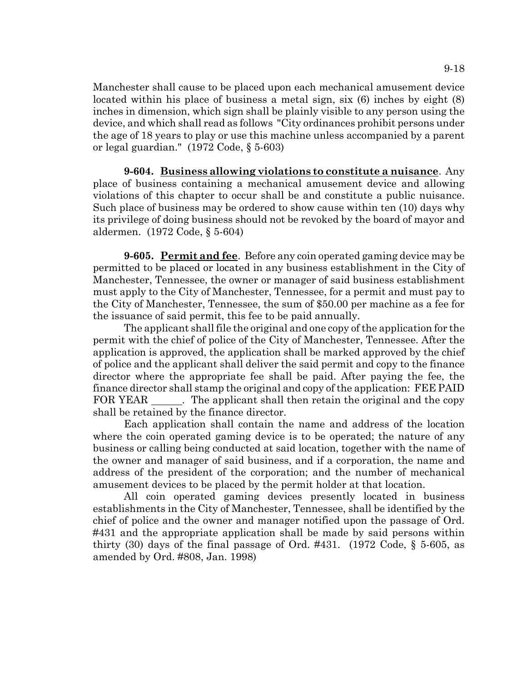Manchester shall cause to be placed upon each mechanical amusement device located within his place of business a metal sign, six (6) inches by eight (8) inches in dimension, which sign shall be plainly visible to any person using the device, and which shall read as follows "City ordinances prohibit persons under the age of 18 years to play or use this machine unless accompanied by a parent or legal guardian." (1972 Code, § 5-603)

**9-604. Business allowing violations to constitute a nuisance**. Any place of business containing a mechanical amusement device and allowing violations of this chapter to occur shall be and constitute a public nuisance. Such place of business may be ordered to show cause within ten (10) days why its privilege of doing business should not be revoked by the board of mayor and aldermen. (1972 Code, § 5-604)

**9-605. Permit and fee**. Before any coin operated gaming device may be permitted to be placed or located in any business establishment in the City of Manchester, Tennessee, the owner or manager of said business establishment must apply to the City of Manchester, Tennessee, for a permit and must pay to the City of Manchester, Tennessee, the sum of \$50.00 per machine as a fee for the issuance of said permit, this fee to be paid annually.

The applicant shall file the original and one copy of the application for the permit with the chief of police of the City of Manchester, Tennessee. After the application is approved, the application shall be marked approved by the chief of police and the applicant shall deliver the said permit and copy to the finance director where the appropriate fee shall be paid. After paying the fee, the finance director shall stamp the original and copy of the application: FEE PAID FOR YEAR \_\_\_\_\_\_. The applicant shall then retain the original and the copy shall be retained by the finance director.

Each application shall contain the name and address of the location where the coin operated gaming device is to be operated; the nature of any business or calling being conducted at said location, together with the name of the owner and manager of said business, and if a corporation, the name and address of the president of the corporation; and the number of mechanical amusement devices to be placed by the permit holder at that location.

All coin operated gaming devices presently located in business establishments in the City of Manchester, Tennessee, shall be identified by the chief of police and the owner and manager notified upon the passage of Ord. #431 and the appropriate application shall be made by said persons within thirty (30) days of the final passage of Ord.  $\#431.$  (1972 Code, § 5-605, as amended by Ord. #808, Jan. 1998)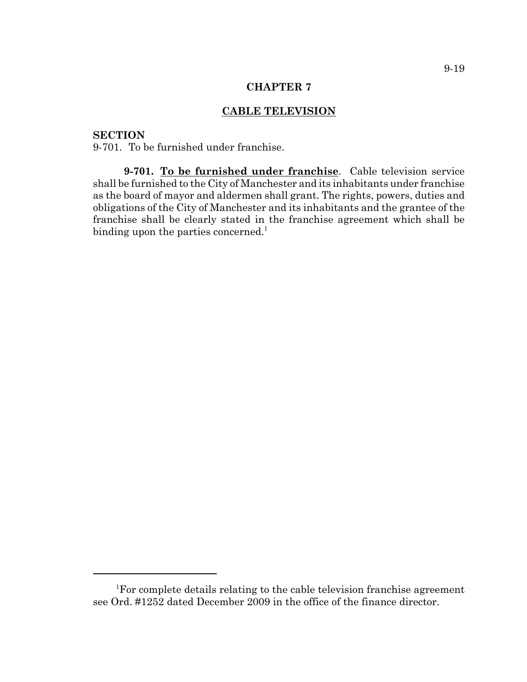# **CABLE TELEVISION**

## **SECTION**

9-701. To be furnished under franchise.

**9-701. To be furnished under franchise**. Cable television service shall be furnished to the City of Manchester and its inhabitants under franchise as the board of mayor and aldermen shall grant. The rights, powers, duties and obligations of the City of Manchester and its inhabitants and the grantee of the franchise shall be clearly stated in the franchise agreement which shall be binding upon the parties concerned.<sup>1</sup>

<sup>1</sup> For complete details relating to the cable television franchise agreement see Ord. #1252 dated December 2009 in the office of the finance director.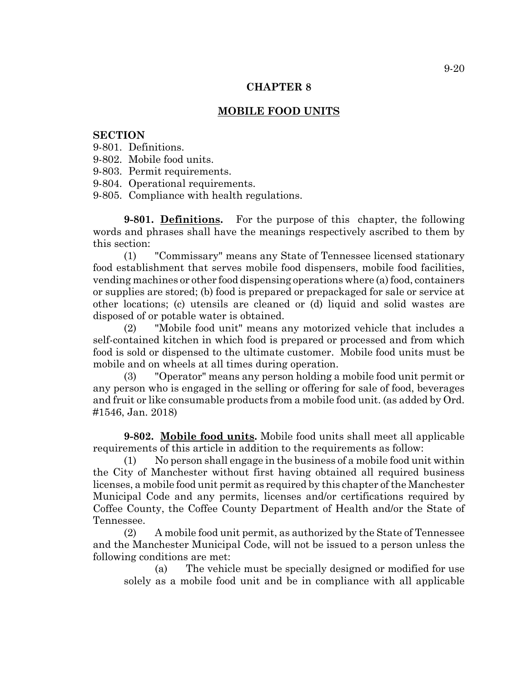#### **MOBILE FOOD UNITS**

### **SECTION**

- 9-801. Definitions.
- 9-802. Mobile food units.
- 9-803. Permit requirements.
- 9-804. Operational requirements.
- 9-805. Compliance with health regulations.

**9-801. Definitions.** For the purpose of this chapter, the following words and phrases shall have the meanings respectively ascribed to them by this section:

(1) "Commissary" means any State of Tennessee licensed stationary food establishment that serves mobile food dispensers, mobile food facilities, vending machines or other food dispensing operations where (a) food, containers or supplies are stored; (b) food is prepared or prepackaged for sale or service at other locations; (c) utensils are cleaned or (d) liquid and solid wastes are disposed of or potable water is obtained.

(2) "Mobile food unit" means any motorized vehicle that includes a self-contained kitchen in which food is prepared or processed and from which food is sold or dispensed to the ultimate customer. Mobile food units must be mobile and on wheels at all times during operation.

(3) "Operator" means any person holding a mobile food unit permit or any person who is engaged in the selling or offering for sale of food, beverages and fruit or like consumable products from a mobile food unit. (as added by Ord. #1546, Jan. 2018)

**9-802. Mobile food units.** Mobile food units shall meet all applicable requirements of this article in addition to the requirements as follow:

(1) No person shall engage in the business of a mobile food unit within the City of Manchester without first having obtained all required business licenses, a mobile food unit permit as required by this chapter of the Manchester Municipal Code and any permits, licenses and/or certifications required by Coffee County, the Coffee County Department of Health and/or the State of Tennessee.

(2) A mobile food unit permit, as authorized by the State of Tennessee and the Manchester Municipal Code, will not be issued to a person unless the following conditions are met:

(a) The vehicle must be specially designed or modified for use solely as a mobile food unit and be in compliance with all applicable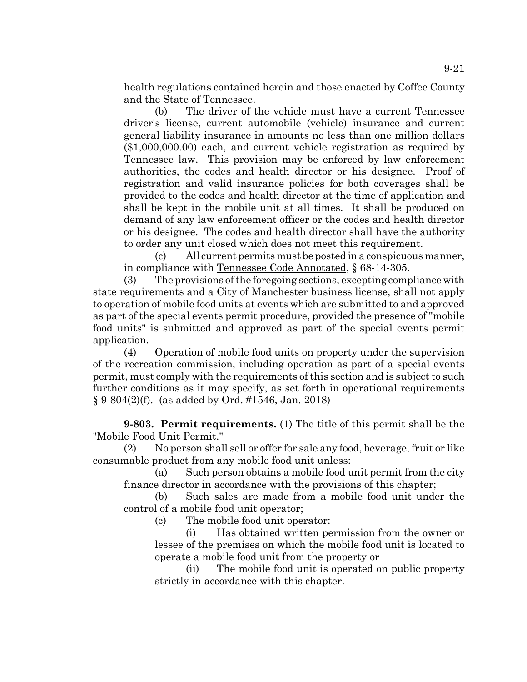health regulations contained herein and those enacted by Coffee County and the State of Tennessee.

(b) The driver of the vehicle must have a current Tennessee driver's license, current automobile (vehicle) insurance and current general liability insurance in amounts no less than one million dollars (\$1,000,000.00) each, and current vehicle registration as required by Tennessee law. This provision may be enforced by law enforcement authorities, the codes and health director or his designee. Proof of registration and valid insurance policies for both coverages shall be provided to the codes and health director at the time of application and shall be kept in the mobile unit at all times. It shall be produced on demand of any law enforcement officer or the codes and health director or his designee. The codes and health director shall have the authority to order any unit closed which does not meet this requirement.

(c) All current permits must be posted in a conspicuous manner, in compliance with Tennessee Code Annotated, § 68-14-305.

(3) The provisions of the foregoing sections, excepting compliance with state requirements and a City of Manchester business license, shall not apply to operation of mobile food units at events which are submitted to and approved as part of the special events permit procedure, provided the presence of "mobile food units" is submitted and approved as part of the special events permit application.

(4) Operation of mobile food units on property under the supervision of the recreation commission, including operation as part of a special events permit, must comply with the requirements of this section and is subject to such further conditions as it may specify, as set forth in operational requirements § 9-804(2)(f). (as added by Ord. #1546, Jan. 2018)

**9-803. Permit requirements.** (1) The title of this permit shall be the "Mobile Food Unit Permit."

(2) No person shall sell or offer for sale any food, beverage, fruit or like consumable product from any mobile food unit unless:

(a) Such person obtains a mobile food unit permit from the city finance director in accordance with the provisions of this chapter;

(b) Such sales are made from a mobile food unit under the control of a mobile food unit operator;

(c) The mobile food unit operator:

(i) Has obtained written permission from the owner or lessee of the premises on which the mobile food unit is located to operate a mobile food unit from the property or

(ii) The mobile food unit is operated on public property strictly in accordance with this chapter.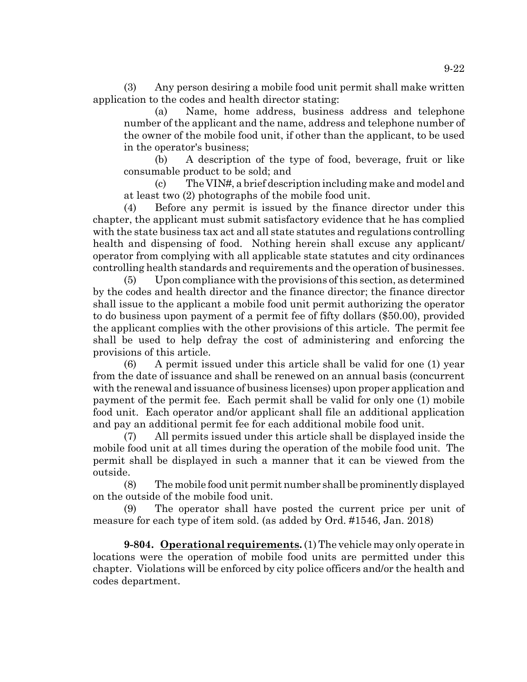(3) Any person desiring a mobile food unit permit shall make written application to the codes and health director stating:

(a) Name, home address, business address and telephone number of the applicant and the name, address and telephone number of the owner of the mobile food unit, if other than the applicant, to be used in the operator's business;

(b) A description of the type of food, beverage, fruit or like consumable product to be sold; and

(c) The VIN#, a brief description including make and model and at least two (2) photographs of the mobile food unit.

(4) Before any permit is issued by the finance director under this chapter, the applicant must submit satisfactory evidence that he has complied with the state business tax act and all state statutes and regulations controlling health and dispensing of food. Nothing herein shall excuse any applicant/ operator from complying with all applicable state statutes and city ordinances controlling health standards and requirements and the operation of businesses.

(5) Upon compliance with the provisions of this section, as determined by the codes and health director and the finance director; the finance director shall issue to the applicant a mobile food unit permit authorizing the operator to do business upon payment of a permit fee of fifty dollars (\$50.00), provided the applicant complies with the other provisions of this article. The permit fee shall be used to help defray the cost of administering and enforcing the provisions of this article.

(6) A permit issued under this article shall be valid for one (1) year from the date of issuance and shall be renewed on an annual basis (concurrent with the renewal and issuance of business licenses) upon proper application and payment of the permit fee. Each permit shall be valid for only one (1) mobile food unit. Each operator and/or applicant shall file an additional application and pay an additional permit fee for each additional mobile food unit.

(7) All permits issued under this article shall be displayed inside the mobile food unit at all times during the operation of the mobile food unit. The permit shall be displayed in such a manner that it can be viewed from the outside.

(8) The mobile food unit permit number shall be prominently displayed on the outside of the mobile food unit.

(9) The operator shall have posted the current price per unit of measure for each type of item sold. (as added by Ord. #1546, Jan. 2018)

**9-804. Operational requirements.** (1) The vehicle may only operate in locations were the operation of mobile food units are permitted under this chapter. Violations will be enforced by city police officers and/or the health and codes department.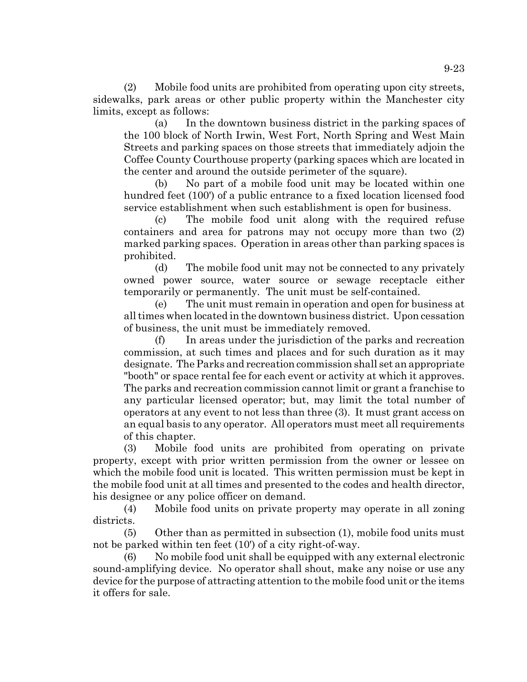(2) Mobile food units are prohibited from operating upon city streets, sidewalks, park areas or other public property within the Manchester city limits, except as follows:

(a) In the downtown business district in the parking spaces of the 100 block of North Irwin, West Fort, North Spring and West Main Streets and parking spaces on those streets that immediately adjoin the Coffee County Courthouse property (parking spaces which are located in the center and around the outside perimeter of the square).

(b) No part of a mobile food unit may be located within one hundred feet (100') of a public entrance to a fixed location licensed food service establishment when such establishment is open for business.

(c) The mobile food unit along with the required refuse containers and area for patrons may not occupy more than two (2) marked parking spaces. Operation in areas other than parking spaces is prohibited.

(d) The mobile food unit may not be connected to any privately owned power source, water source or sewage receptacle either temporarily or permanently. The unit must be self-contained.

(e) The unit must remain in operation and open for business at all times when located in the downtown business district. Upon cessation of business, the unit must be immediately removed.

(f) In areas under the jurisdiction of the parks and recreation commission, at such times and places and for such duration as it may designate. The Parks and recreation commission shall set an appropriate "booth" or space rental fee for each event or activity at which it approves. The parks and recreation commission cannot limit or grant a franchise to any particular licensed operator; but, may limit the total number of operators at any event to not less than three (3). It must grant access on an equal basis to any operator. All operators must meet all requirements of this chapter.

(3) Mobile food units are prohibited from operating on private property, except with prior written permission from the owner or lessee on which the mobile food unit is located. This written permission must be kept in the mobile food unit at all times and presented to the codes and health director, his designee or any police officer on demand.

(4) Mobile food units on private property may operate in all zoning districts.

(5) Other than as permitted in subsection (1), mobile food units must not be parked within ten feet (10') of a city right-of-way.

(6) No mobile food unit shall be equipped with any external electronic sound-amplifying device. No operator shall shout, make any noise or use any device for the purpose of attracting attention to the mobile food unit or the items it offers for sale.